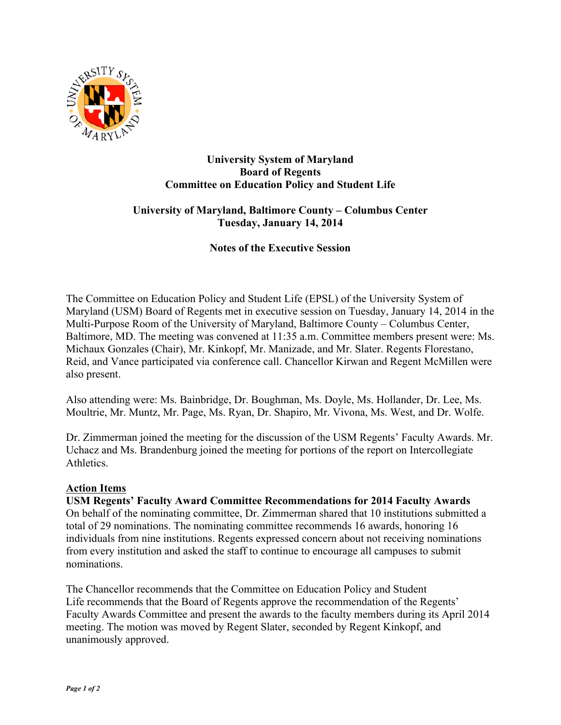

### **University System of Maryland Board of Regents Committee on Education Policy and Student Life**

# **University of Maryland, Baltimore County – Columbus Center Tuesday, January 14, 2014**

**Notes of the Executive Session**

The Committee on Education Policy and Student Life (EPSL) of the University System of Maryland (USM) Board of Regents met in executive session on Tuesday, January 14, 2014 in the Multi-Purpose Room of the University of Maryland, Baltimore County – Columbus Center, Baltimore, MD. The meeting was convened at 11:35 a.m. Committee members present were: Ms. Michaux Gonzales (Chair), Mr. Kinkopf, Mr. Manizade, and Mr. Slater. Regents Florestano, Reid, and Vance participated via conference call. Chancellor Kirwan and Regent McMillen were also present.

Also attending were: Ms. Bainbridge, Dr. Boughman, Ms. Doyle, Ms. Hollander, Dr. Lee, Ms. Moultrie, Mr. Muntz, Mr. Page, Ms. Ryan, Dr. Shapiro, Mr. Vivona, Ms. West, and Dr. Wolfe.

Dr. Zimmerman joined the meeting for the discussion of the USM Regents' Faculty Awards. Mr. Uchacz and Ms. Brandenburg joined the meeting for portions of the report on Intercollegiate **Athletics** 

## **Action Items**

**USM Regents' Faculty Award Committee Recommendations for 2014 Faculty Awards** On behalf of the nominating committee, Dr. Zimmerman shared that 10 institutions submitted a total of 29 nominations. The nominating committee recommends 16 awards, honoring 16 individuals from nine institutions. Regents expressed concern about not receiving nominations from every institution and asked the staff to continue to encourage all campuses to submit nominations.

The Chancellor recommends that the Committee on Education Policy and Student Life recommends that the Board of Regents approve the recommendation of the Regents' Faculty Awards Committee and present the awards to the faculty members during its April 2014 meeting. The motion was moved by Regent Slater, seconded by Regent Kinkopf, and unanimously approved.